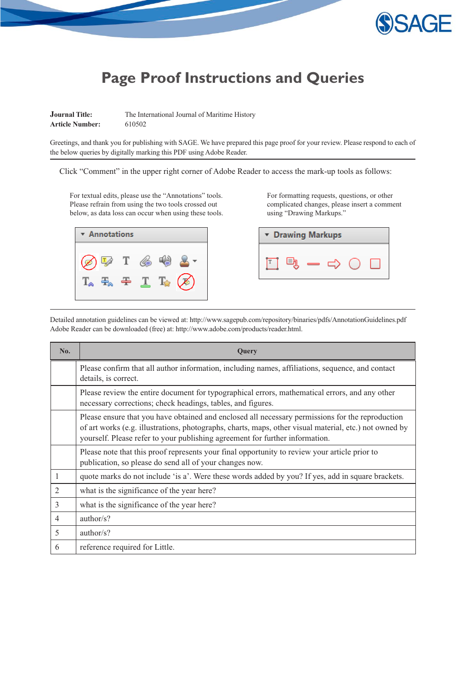

# **Page Proof Instructions and Queries**

| Journal Title:         | The International Journal of Maritime History |
|------------------------|-----------------------------------------------|
| <b>Article Number:</b> | 610502                                        |

Greetings, and thank you for publishing with SAGE. We have prepared this page proof for your review. Please respond to each of the below queries by digitally marking this PDF using Adobe Reader.

Click "Comment" in the upper right corner of Adobe Reader to access the mark-up tools as follows:

For textual edits, please use the "Annotations" tools. Please refrain from using the two tools crossed out below, as data loss can occur when using these tools.



For formatting requests, questions, or other complicated changes, please insert a comment using "Drawing Markups."



Detailed annotation guidelines can be viewed at: http://www.sagepub.com/repository/binaries/pdfs/AnnotationGuidelines.pdf Adobe Reader can be downloaded (free) at: http://www.adobe.com/products/reader.html.

<span id="page-0-5"></span><span id="page-0-4"></span><span id="page-0-3"></span><span id="page-0-2"></span><span id="page-0-1"></span><span id="page-0-0"></span>

| No.            | <b>Ouery</b>                                                                                                                                                                                                                                                                               |
|----------------|--------------------------------------------------------------------------------------------------------------------------------------------------------------------------------------------------------------------------------------------------------------------------------------------|
|                | Please confirm that all author information, including names, affiliations, sequence, and contact<br>details, is correct.                                                                                                                                                                   |
|                | Please review the entire document for typographical errors, mathematical errors, and any other<br>necessary corrections; check headings, tables, and figures.                                                                                                                              |
|                | Please ensure that you have obtained and enclosed all necessary permissions for the reproduction<br>of art works (e.g. illustrations, photographs, charts, maps, other visual material, etc.) not owned by<br>yourself. Please refer to your publishing agreement for further information. |
|                | Please note that this proof represents your final opportunity to review your article prior to<br>publication, so please do send all of your changes now.                                                                                                                                   |
| 1              | quote marks do not include 'is a'. Were these words added by you? If yes, add in square brackets.                                                                                                                                                                                          |
| 2              | what is the significance of the year here?                                                                                                                                                                                                                                                 |
| 3              | what is the significance of the year here?                                                                                                                                                                                                                                                 |
| $\overline{4}$ | $\text{author/s?}$                                                                                                                                                                                                                                                                         |
| 5              | $\text{author/s?}$                                                                                                                                                                                                                                                                         |
| 6              | reference required for Little.                                                                                                                                                                                                                                                             |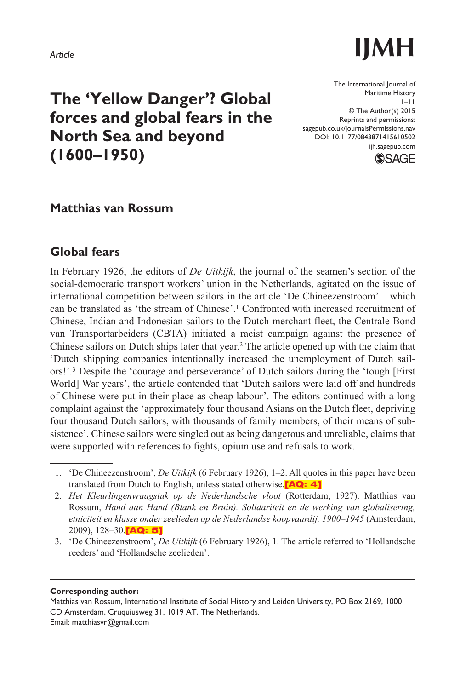

The International Journal of Maritime History  $1 - 11$ © The Author(s) 2015 Reprints and permissions: sagepub.co.uk/journalsPermissions.nav DOI: 10.1177/0843871415610502 ijh.sagepub.com



# **The 'Yellow Danger'? Global forces and global fears in the North Sea and beyond (1600–1950)**

# **Matthias van Rossum**

# **Global fears**

In February 1926, the editors of *De Uitkijk*, the journal of the seamen's section of the social-democratic transport workers' union in the Netherlands, agitated on the issue of international competition between sailors in the article 'De Chineezenstroom' – which can be translated as 'the stream of Chinese'.1 Confronted with increased recruitment of Chinese, Indian and Indonesian sailors to the Dutch merchant fleet, the Centrale Bond van Transportarbeiders (CBTA) initiated a racist campaign against the presence of Chinese sailors on Dutch ships later that year.2 The article opened up with the claim that 'Dutch shipping companies intentionally increased the unemployment of Dutch sailors!'.3 Despite the 'courage and perseverance' of Dutch sailors during the 'tough [First World] War years', the article contended that 'Dutch sailors were laid off and hundreds of Chinese were put in their place as cheap labour'. The editors continued with a long complaint against the 'approximately four thousand Asians on the Dutch fleet, depriving four thousand Dutch sailors, with thousands of family members, of their means of subsistence'. Chinese sailors were singled out as being dangerous and unreliable, claims that were supported with references to fights, opium use and refusals to work.

<span id="page-1-1"></span>3. 'De Chineezenstroom', *De Uitkijk* (6 February 1926), 1. The article referred to 'Hollandsche reeders' and 'Hollandsche zeelieden'.

#### **Corresponding author:**

Matthias van Rossum, International Institute of Social History and Leiden University, PO Box 2169, 1000 CD Amsterdam, Cruquiusweg 31, 1019 AT, The Netherlands.

Email: [matthiasvr@gmail.com](mailto:matthiasvr@gmail.com)

<span id="page-1-0"></span><sup>1.</sup> 'De Chineezenstroom', *De Uitkijk* (6 February 1926), 1–2. All quotes in this paper have been translated from Dutch to English, unless stated otherwise.<sup>[\[AQ: 4\]](#page-0-0)</sup>

<sup>2.</sup> *Het Kleurlingenvraagstuk op de Nederlandsche vloot* (Rotterdam, 1927). Matthias van Rossum, *Hand aan Hand (Blank en Bruin). Solidariteit en de werking van globalisering, etniciteit en klasse onder zeelieden op de Nederlandse koopvaardij, 1900–1945* (Amsterdam, 2009), 128–30.[\[AQ: 5\]](#page-0-1)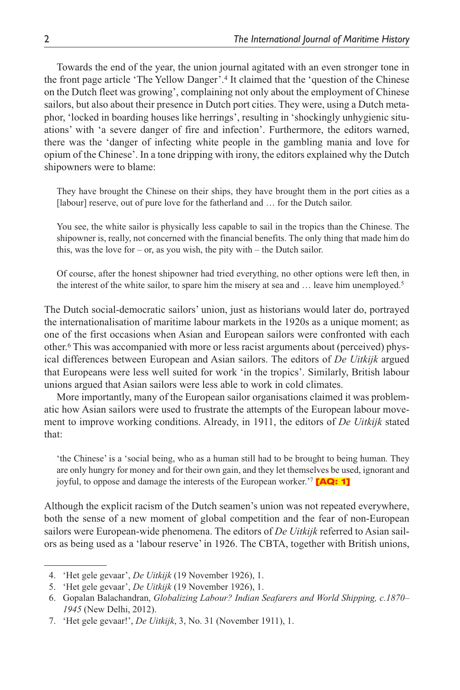Towards the end of the year, the union journal agitated with an even stronger tone in the front page article 'The Yellow Danger'.4 It claimed that the 'question of the Chinese on the Dutch fleet was growing', complaining not only about the employment of Chinese sailors, but also about their presence in Dutch port cities. They were, using a Dutch metaphor, 'locked in boarding houses like herrings', resulting in 'shockingly unhygienic situations' with 'a severe danger of fire and infection'. Furthermore, the editors warned, there was the 'danger of infecting white people in the gambling mania and love for opium of the Chinese'. In a tone dripping with irony, the editors explained why the Dutch shipowners were to blame:

They have brought the Chinese on their ships, they have brought them in the port cities as a [labour] reserve, out of pure love for the fatherland and ... for the Dutch sailor.

You see, the white sailor is physically less capable to sail in the tropics than the Chinese. The shipowner is, really, not concerned with the financial benefits. The only thing that made him do this, was the love for – or, as you wish, the pity with – the Dutch sailor.

Of course, after the honest shipowner had tried everything, no other options were left then, in the interest of the white sailor, to spare him the misery at sea and ... leave him unemployed.<sup>5</sup>

The Dutch social-democratic sailors' union, just as historians would later do, portrayed the internationalisation of maritime labour markets in the 1920s as a unique moment; as one of the first occasions when Asian and European sailors were confronted with each other.6 This was accompanied with more or less racist arguments about (perceived) physical differences between European and Asian sailors. The editors of *De Uitkijk* argued that Europeans were less well suited for work 'in the tropics'. Similarly, British labour unions argued that Asian sailors were less able to work in cold climates.

More importantly, many of the European sailor organisations claimed it was problematic how Asian sailors were used to frustrate the attempts of the European labour movement to improve working conditions. Already, in 1911, the editors of *De Uitkijk* stated that:

<span id="page-2-0"></span>'the Chinese' is a 'social being, who as a human still had to be brought to being human. They are only hungry for money and for their own gain, and they let themselves be used, ignorant and joyful, to oppose and damage the interests of the European worker.<sup>'7</sup> [\[AQ: 1\]](#page-0-2)

Although the explicit racism of the Dutch seamen's union was not repeated everywhere, both the sense of a new moment of global competition and the fear of non-European sailors were European-wide phenomena. The editors of *De Uitkijk* referred to Asian sailors as being used as a 'labour reserve' in 1926. The CBTA, together with British unions,

<sup>4.</sup> 'Het gele gevaar', *De Uitkijk* (19 November 1926), 1.

<sup>5.</sup> 'Het gele gevaar', *De Uitkijk* (19 November 1926), 1.

<sup>6.</sup> Gopalan Balachandran, *Globalizing Labour? Indian Seafarers and World Shipping, c.1870– 1945* (New Delhi, 2012).

<sup>7.</sup> 'Het gele gevaar!', *De Uitkijk*, 3, No. 31 (November 1911), 1.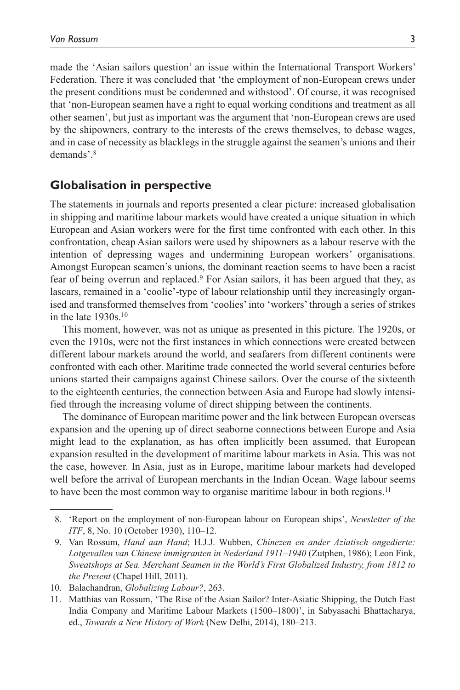made the 'Asian sailors question' an issue within the International Transport Workers' Federation. There it was concluded that 'the employment of non-European crews under the present conditions must be condemned and withstood'. Of course, it was recognised that 'non-European seamen have a right to equal working conditions and treatment as all other seamen', but just as important was the argument that 'non-European crews are used by the shipowners, contrary to the interests of the crews themselves, to debase wages, and in case of necessity as blacklegs in the struggle against the seamen's unions and their demands'.8

#### **Globalisation in perspective**

The statements in journals and reports presented a clear picture: increased globalisation in shipping and maritime labour markets would have created a unique situation in which European and Asian workers were for the first time confronted with each other. In this confrontation, cheap Asian sailors were used by shipowners as a labour reserve with the intention of depressing wages and undermining European workers' organisations. Amongst European seamen's unions, the dominant reaction seems to have been a racist fear of being overrun and replaced.9 For Asian sailors, it has been argued that they, as lascars, remained in a 'coolie'-type of labour relationship until they increasingly organised and transformed themselves from 'coolies' into 'workers' through a series of strikes in the late 1930s.10

This moment, however, was not as unique as presented in this picture. The 1920s, or even the 1910s, were not the first instances in which connections were created between different labour markets around the world, and seafarers from different continents were confronted with each other. Maritime trade connected the world several centuries before unions started their campaigns against Chinese sailors. Over the course of the sixteenth to the eighteenth centuries, the connection between Asia and Europe had slowly intensified through the increasing volume of direct shipping between the continents.

The dominance of European maritime power and the link between European overseas expansion and the opening up of direct seaborne connections between Europe and Asia might lead to the explanation, as has often implicitly been assumed, that European expansion resulted in the development of maritime labour markets in Asia. This was not the case, however. In Asia, just as in Europe, maritime labour markets had developed well before the arrival of European merchants in the Indian Ocean. Wage labour seems to have been the most common way to organise maritime labour in both regions.11

9. Van Rossum, *Hand aan Hand*; H.J.J. Wubben, *Chinezen en ander Aziatisch ongedierte: Lotgevallen van Chinese immigranten in Nederland 1911–1940* (Zutphen, 1986); Leon Fink, *Sweatshops at Sea. Merchant Seamen in the World's First Globalized Industry, from 1812 to the Present* (Chapel Hill, 2011).

<sup>8.</sup> 'Report on the employment of non-European labour on European ships', *Newsletter of the ITF*, 8, No. 10 (October 1930), 110–12.

<sup>10.</sup> Balachandran, *Globalizing Labour?*, 263.

<sup>11.</sup> Matthias van Rossum, 'The Rise of the Asian Sailor? Inter-Asiatic Shipping, the Dutch East India Company and Maritime Labour Markets (1500–1800)', in Sabyasachi Bhattacharya, ed., *Towards a New History of Work* (New Delhi, 2014), 180–213.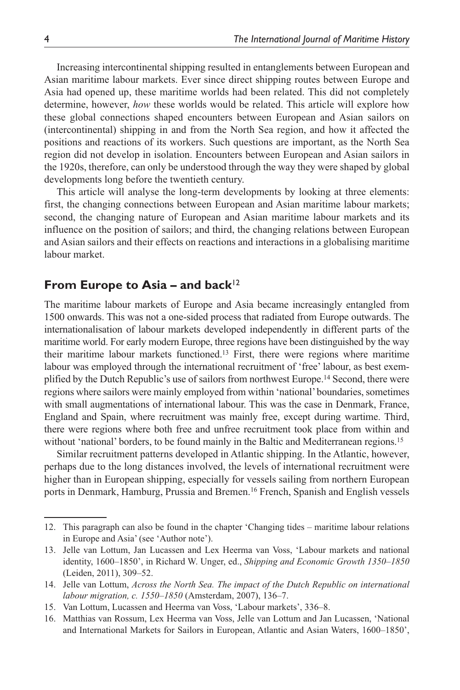Increasing intercontinental shipping resulted in entanglements between European and Asian maritime labour markets. Ever since direct shipping routes between Europe and Asia had opened up, these maritime worlds had been related. This did not completely determine, however, *how* these worlds would be related. This article will explore how these global connections shaped encounters between European and Asian sailors on (intercontinental) shipping in and from the North Sea region, and how it affected the positions and reactions of its workers. Such questions are important, as the North Sea region did not develop in isolation. Encounters between European and Asian sailors in the 1920s, therefore, can only be understood through the way they were shaped by global developments long before the twentieth century.

This article will analyse the long-term developments by looking at three elements: first, the changing connections between European and Asian maritime labour markets; second, the changing nature of European and Asian maritime labour markets and its influence on the position of sailors; and third, the changing relations between European and Asian sailors and their effects on reactions and interactions in a globalising maritime labour market.

#### **From Europe to Asia – and back**<sup>12</sup>

The maritime labour markets of Europe and Asia became increasingly entangled from 1500 onwards. This was not a one-sided process that radiated from Europe outwards. The internationalisation of labour markets developed independently in different parts of the maritime world. For early modern Europe, three regions have been distinguished by the way their maritime labour markets functioned.13 First, there were regions where maritime labour was employed through the international recruitment of 'free' labour, as best exemplified by the Dutch Republic's use of sailors from northwest Europe.<sup>14</sup> Second, there were regions where sailors were mainly employed from within 'national' boundaries, sometimes with small augmentations of international labour. This was the case in Denmark, France, England and Spain, where recruitment was mainly free, except during wartime. Third, there were regions where both free and unfree recruitment took place from within and without 'national' borders, to be found mainly in the Baltic and Mediterranean regions.<sup>15</sup>

Similar recruitment patterns developed in Atlantic shipping. In the Atlantic, however, perhaps due to the long distances involved, the levels of international recruitment were higher than in European shipping, especially for vessels sailing from northern European ports in Denmark, Hamburg, Prussia and Bremen.16 French, Spanish and English vessels

<sup>12.</sup> This paragraph can also be found in the chapter 'Changing tides – maritime labour relations in Europe and Asia' (see 'Author note').

<sup>13.</sup> Jelle van Lottum, Jan Lucassen and Lex Heerma van Voss, 'Labour markets and national identity, 1600–1850', in Richard W. Unger, ed., *Shipping and Economic Growth 1350–1850* (Leiden, 2011), 309–52.

<sup>14.</sup> Jelle van Lottum, *Across the North Sea. The impact of the Dutch Republic on international labour migration, c. 1550–1850* (Amsterdam, 2007), 136–7.

<sup>15.</sup> Van Lottum, Lucassen and Heerma van Voss, 'Labour markets', 336–8.

<sup>16.</sup> Matthias van Rossum, Lex Heerma van Voss, Jelle van Lottum and Jan Lucassen, 'National and International Markets for Sailors in European, Atlantic and Asian Waters, 1600–1850',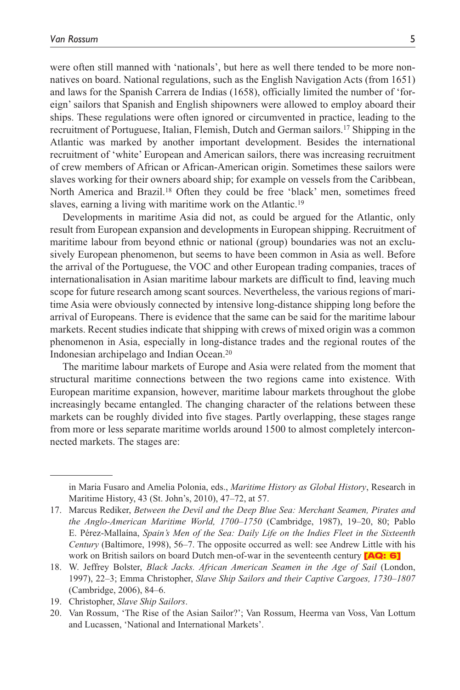were often still manned with 'nationals', but here as well there tended to be more nonnatives on board. National regulations, such as the English Navigation Acts (from 1651) and laws for the Spanish Carrera de Indias (1658), officially limited the number of 'foreign' sailors that Spanish and English shipowners were allowed to employ aboard their ships. These regulations were often ignored or circumvented in practice, leading to the recruitment of Portuguese, Italian, Flemish, Dutch and German sailors.17 Shipping in the Atlantic was marked by another important development. Besides the international recruitment of 'white' European and American sailors, there was increasing recruitment of crew members of African or African-American origin. Sometimes these sailors were slaves working for their owners aboard ship; for example on vessels from the Caribbean, North America and Brazil.18 Often they could be free 'black' men, sometimes freed slaves, earning a living with maritime work on the Atlantic.<sup>19</sup>

Developments in maritime Asia did not, as could be argued for the Atlantic, only result from European expansion and developments in European shipping. Recruitment of maritime labour from beyond ethnic or national (group) boundaries was not an exclusively European phenomenon, but seems to have been common in Asia as well. Before the arrival of the Portuguese, the VOC and other European trading companies, traces of internationalisation in Asian maritime labour markets are difficult to find, leaving much scope for future research among scant sources. Nevertheless, the various regions of maritime Asia were obviously connected by intensive long-distance shipping long before the arrival of Europeans. There is evidence that the same can be said for the maritime labour markets. Recent studies indicate that shipping with crews of mixed origin was a common phenomenon in Asia, especially in long-distance trades and the regional routes of the Indonesian archipelago and Indian Ocean.20

The maritime labour markets of Europe and Asia were related from the moment that structural maritime connections between the two regions came into existence. With European maritime expansion, however, maritime labour markets throughout the globe increasingly became entangled. The changing character of the relations between these markets can be roughly divided into five stages. Partly overlapping, these stages range from more or less separate maritime worlds around 1500 to almost completely interconnected markets. The stages are:

in Maria Fusaro and Amelia Polonia, eds., *Maritime History as Global History*, Research in Maritime History, 43 (St. John's, 2010), 47–72, at 57.

<sup>17.</sup> Marcus Rediker, *Between the Devil and the Deep Blue Sea: Merchant Seamen, Pirates and the Anglo-American Maritime World, 1700–1750* (Cambridge, 1987), 19–20, 80; Pablo E. Pérez-Mallaína, *Spain's Men of the Sea: Daily Life on the Indies Fleet in the Sixteenth Century* (Baltimore, 1998), 56–7. The opposite occurred as well: see Andrew Little with his work on British sailors on board Dutch men-of-war in the seventeenth century **[\[AQ: 6\]](#page-0-3)** 

<span id="page-5-0"></span><sup>18.</sup> W. Jeffrey Bolster, *Black Jacks. African American Seamen in the Age of Sail* (London, 1997), 22–3; Emma Christopher, *Slave Ship Sailors and their Captive Cargoes, 1730–1807* (Cambridge, 2006), 84–6.

<sup>19.</sup> Christopher, *Slave Ship Sailors*.

<sup>20.</sup> Van Rossum, 'The Rise of the Asian Sailor?'; Van Rossum, Heerma van Voss, Van Lottum and Lucassen, 'National and International Markets'.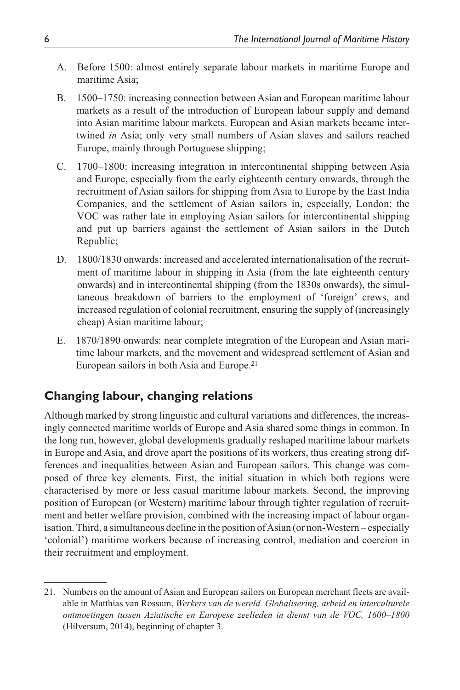- A. Before 1500: almost entirely separate labour markets in maritime Europe and maritime Asia;
- B. 1500–1750: increasing connection between Asian and European maritime labour markets as a result of the introduction of European labour supply and demand into Asian maritime labour markets. European and Asian markets became intertwined *in* Asia; only very small numbers of Asian slaves and sailors reached Europe, mainly through Portuguese shipping;
- C. 1700–1800: increasing integration in intercontinental shipping between Asia and Europe, especially from the early eighteenth century onwards, through the recruitment of Asian sailors for shipping from Asia to Europe by the East India Companies, and the settlement of Asian sailors in, especially, London; the VOC was rather late in employing Asian sailors for intercontinental shipping and put up barriers against the settlement of Asian sailors in the Dutch Republic;
- D. 1800/1830 onwards: increased and accelerated internationalisation of the recruitment of maritime labour in shipping in Asia (from the late eighteenth century onwards) and in intercontinental shipping (from the 1830s onwards), the simultaneous breakdown of barriers to the employment of 'foreign' crews, and increased regulation of colonial recruitment, ensuring the supply of (increasingly cheap) Asian maritime labour;
- E. 1870/1890 onwards: near complete integration of the European and Asian maritime labour markets, and the movement and widespread settlement of Asian and European sailors in both Asia and Europe.<sup>21</sup>

## **Changing labour, changing relations**

Although marked by strong linguistic and cultural variations and differences, the increasingly connected maritime worlds of Europe and Asia shared some things in common. In the long run, however, global developments gradually reshaped maritime labour markets in Europe and Asia, and drove apart the positions of its workers, thus creating strong differences and inequalities between Asian and European sailors. This change was composed of three key elements. First, the initial situation in which both regions were characterised by more or less casual maritime labour markets. Second, the improving position of European (or Western) maritime labour through tighter regulation of recruitment and better welfare provision, combined with the increasing impact of labour organisation. Third, a simultaneous decline in the position of Asian (or non-Western – especially 'colonial') maritime workers because of increasing control, mediation and coercion in their recruitment and employment.

<sup>21.</sup> Numbers on the amount of Asian and European sailors on European merchant fleets are available in Matthias van Rossum, *Werkers van de wereld. Globalisering, arbeid en interculturele ontmoetingen tussen Aziatische en Europese zeelieden in dienst van de VOC, 1600–1800* (Hilversum, 2014), beginning of chapter 3.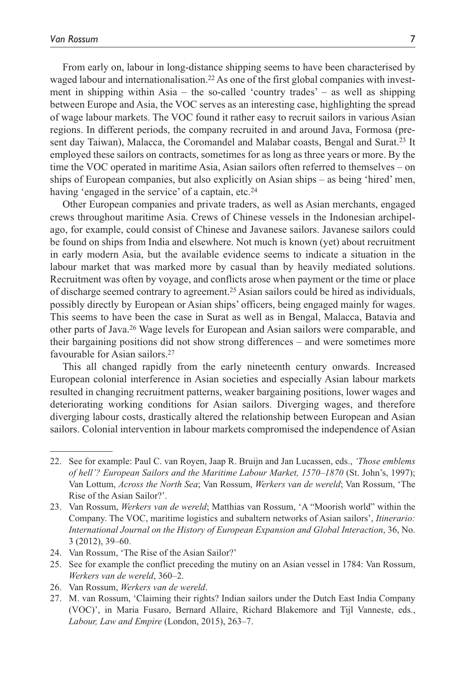From early on, labour in long-distance shipping seems to have been characterised by waged labour and internationalisation.22 As one of the first global companies with investment in shipping within Asia – the so-called 'country trades' – as well as shipping between Europe and Asia, the VOC serves as an interesting case, highlighting the spread of wage labour markets. The VOC found it rather easy to recruit sailors in various Asian regions. In different periods, the company recruited in and around Java, Formosa (present day Taiwan), Malacca, the Coromandel and Malabar coasts, Bengal and Surat.<sup>23</sup> It employed these sailors on contracts, sometimes for as long as three years or more. By the time the VOC operated in maritime Asia, Asian sailors often referred to themselves – on ships of European companies, but also explicitly on Asian ships – as being 'hired' men, having 'engaged in the service' of a captain, etc.<sup>24</sup>

Other European companies and private traders, as well as Asian merchants, engaged crews throughout maritime Asia. Crews of Chinese vessels in the Indonesian archipelago, for example, could consist of Chinese and Javanese sailors. Javanese sailors could be found on ships from India and elsewhere. Not much is known (yet) about recruitment in early modern Asia, but the available evidence seems to indicate a situation in the labour market that was marked more by casual than by heavily mediated solutions. Recruitment was often by voyage, and conflicts arose when payment or the time or place of discharge seemed contrary to agreement.25 Asian sailors could be hired as individuals, possibly directly by European or Asian ships' officers, being engaged mainly for wages. This seems to have been the case in Surat as well as in Bengal, Malacca, Batavia and other parts of Java.26 Wage levels for European and Asian sailors were comparable, and their bargaining positions did not show strong differences – and were sometimes more favourable for Asian sailors.27

This all changed rapidly from the early nineteenth century onwards. Increased European colonial interference in Asian societies and especially Asian labour markets resulted in changing recruitment patterns, weaker bargaining positions, lower wages and deteriorating working conditions for Asian sailors. Diverging wages, and therefore diverging labour costs, drastically altered the relationship between European and Asian sailors. Colonial intervention in labour markets compromised the independence of Asian

- 24. Van Rossum, 'The Rise of the Asian Sailor?'
- 25. See for example the conflict preceding the mutiny on an Asian vessel in 1784: Van Rossum, *Werkers van de wereld*, 360–2.
- 26. Van Rossum, *Werkers van de wereld*.

<sup>22.</sup> See for example: Paul C. van Royen, Jaap R. Bruijn and Jan Lucassen, eds., *'Those emblems of hell'? European Sailors and the Maritime Labour Market, 1570–1870* (St. John's, 1997); Van Lottum, *Across the North Sea*; Van Rossum, *Werkers van de wereld*; Van Rossum, 'The Rise of the Asian Sailor?'.

<sup>23.</sup> Van Rossum, *Werkers van de wereld*; Matthias van Rossum, 'A "Moorish world" within the Company. The VOC, maritime logistics and subaltern networks of Asian sailors', *Itinerario: International Journal on the History of European Expansion and Global Interaction*, 36, No. 3 (2012), 39–60.

<sup>27.</sup> M. van Rossum, 'Claiming their rights? Indian sailors under the Dutch East India Company (VOC)', in Maria Fusaro, Bernard Allaire, Richard Blakemore and Tijl Vanneste, eds., *Labour, Law and Empire* (London, 2015), 263–7.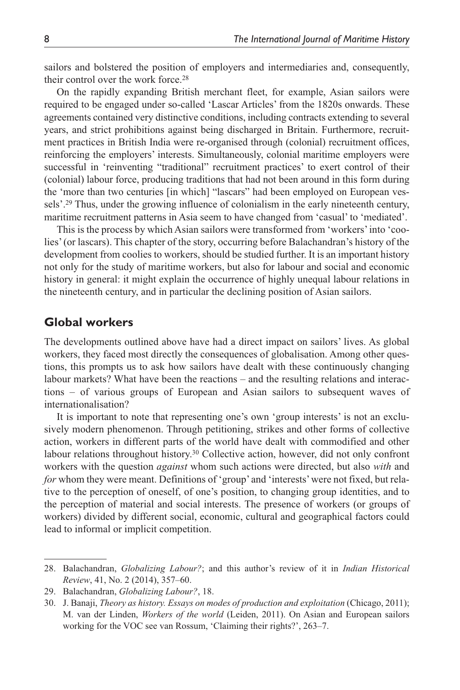sailors and bolstered the position of employers and intermediaries and, consequently, their control over the work force.<sup>28</sup>

On the rapidly expanding British merchant fleet, for example, Asian sailors were required to be engaged under so-called 'Lascar Articles' from the 1820s onwards. These agreements contained very distinctive conditions, including contracts extending to several years, and strict prohibitions against being discharged in Britain. Furthermore, recruitment practices in British India were re-organised through (colonial) recruitment offices, reinforcing the employers' interests. Simultaneously, colonial maritime employers were successful in 'reinventing "traditional" recruitment practices' to exert control of their (colonial) labour force, producing traditions that had not been around in this form during the 'more than two centuries [in which] "lascars" had been employed on European vessels'.29 Thus, under the growing influence of colonialism in the early nineteenth century, maritime recruitment patterns in Asia seem to have changed from 'casual' to 'mediated'.

This is the process by which Asian sailors were transformed from 'workers' into 'coolies' (or lascars). This chapter of the story, occurring before Balachandran's history of the development from coolies to workers, should be studied further. It is an important history not only for the study of maritime workers, but also for labour and social and economic history in general: it might explain the occurrence of highly unequal labour relations in the nineteenth century, and in particular the declining position of Asian sailors.

#### **Global workers**

The developments outlined above have had a direct impact on sailors' lives. As global workers, they faced most directly the consequences of globalisation. Among other questions, this prompts us to ask how sailors have dealt with these continuously changing labour markets? What have been the reactions – and the resulting relations and interactions – of various groups of European and Asian sailors to subsequent waves of internationalisation?

It is important to note that representing one's own 'group interests' is not an exclusively modern phenomenon. Through petitioning, strikes and other forms of collective action, workers in different parts of the world have dealt with commodified and other labour relations throughout history.30 Collective action, however, did not only confront workers with the question *against* whom such actions were directed, but also *with* and *for* whom they were meant. Definitions of 'group' and 'interests' were not fixed, but relative to the perception of oneself, of one's position, to changing group identities, and to the perception of material and social interests. The presence of workers (or groups of workers) divided by different social, economic, cultural and geographical factors could lead to informal or implicit competition.

<sup>28.</sup> Balachandran, *Globalizing Labour?*; and this author's review of it in *Indian Historical Review*, 41, No. 2 (2014), 357–60.

<sup>29.</sup> Balachandran, *Globalizing Labour?*, 18.

<sup>30.</sup> J. Banaji, *Theory as history. Essays on modes of production and exploitation* (Chicago, 2011); M. van der Linden, *Workers of the world* (Leiden, 2011). On Asian and European sailors working for the VOC see van Rossum, 'Claiming their rights?', 263–7.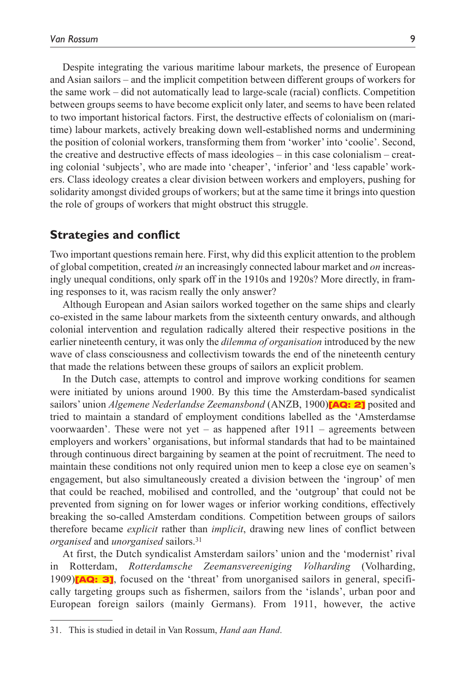Despite integrating the various maritime labour markets, the presence of European and Asian sailors – and the implicit competition between different groups of workers for the same work – did not automatically lead to large-scale (racial) conflicts. Competition between groups seems to have become explicit only later, and seems to have been related to two important historical factors. First, the destructive effects of colonialism on (maritime) labour markets, actively breaking down well-established norms and undermining the position of colonial workers, transforming them from 'worker' into 'coolie'. Second, the creative and destructive effects of mass ideologies – in this case colonialism – creating colonial 'subjects', who are made into 'cheaper', 'inferior' and 'less capable' workers. Class ideology creates a clear division between workers and employers, pushing for solidarity amongst divided groups of workers; but at the same time it brings into question the role of groups of workers that might obstruct this struggle.

#### **Strategies and conflict**

Two important questions remain here. First, why did this explicit attention to the problem of global competition, created *in* an increasingly connected labour market and *on* increasingly unequal conditions, only spark off in the 1910s and 1920s? More directly, in framing responses to it, was racism really the only answer?

Although European and Asian sailors worked together on the same ships and clearly co-existed in the same labour markets from the sixteenth century onwards, and although colonial intervention and regulation radically altered their respective positions in the earlier nineteenth century, it was only the *dilemma of organisation* introduced by the new wave of class consciousness and collectivism towards the end of the nineteenth century that made the relations between these groups of sailors an explicit problem.

<span id="page-9-0"></span>In the Dutch case, attempts to control and improve working conditions for seamen were initiated by unions around 1900. By this time the Amsterdam-based syndicalist sailors' union *Algemene Nederlandse Zeemansbond* (ANZB, 1900)**[\[AQ: 2\]](#page-0-4)** posited and tried to maintain a standard of employment conditions labelled as the 'Amsterdamse voorwaarden'. These were not yet – as happened after 1911 – agreements between employers and workers' organisations, but informal standards that had to be maintained through continuous direct bargaining by seamen at the point of recruitment. The need to maintain these conditions not only required union men to keep a close eye on seamen's engagement, but also simultaneously created a division between the 'ingroup' of men that could be reached, mobilised and controlled, and the 'outgroup' that could not be prevented from signing on for lower wages or inferior working conditions, effectively breaking the so-called Amsterdam conditions. Competition between groups of sailors therefore became *explicit* rather than *implicit*, drawing new lines of conflict between *organised* and *unorganised* sailors.31

<span id="page-9-1"></span>At first, the Dutch syndicalist Amsterdam sailors' union and the 'modernist' rival in Rotterdam, *Rotterdamsche Zeemansvereeniging Volharding* (Volharding, 1909) $[AA:3]$ , focused on the 'threat' from unorganised sailors in general, specifically targeting groups such as fishermen, sailors from the 'islands', urban poor and European foreign sailors (mainly Germans). From 1911, however, the active

<sup>31.</sup> This is studied in detail in Van Rossum, *Hand aan Hand*.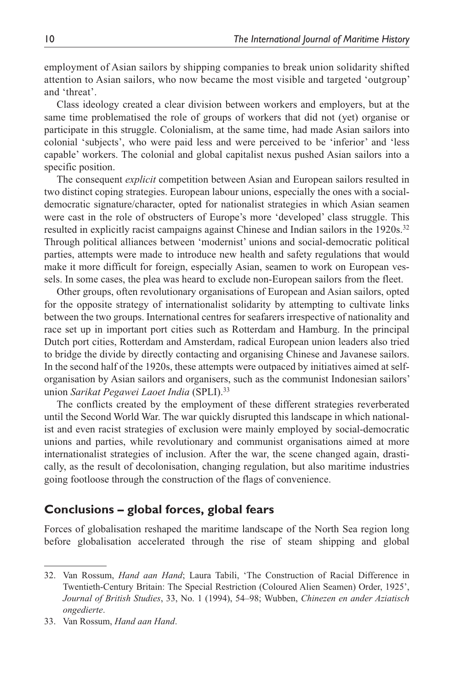employment of Asian sailors by shipping companies to break union solidarity shifted attention to Asian sailors, who now became the most visible and targeted 'outgroup' and 'threat'.

Class ideology created a clear division between workers and employers, but at the same time problematised the role of groups of workers that did not (yet) organise or participate in this struggle. Colonialism, at the same time, had made Asian sailors into colonial 'subjects', who were paid less and were perceived to be 'inferior' and 'less capable' workers. The colonial and global capitalist nexus pushed Asian sailors into a specific position.

The consequent *explicit* competition between Asian and European sailors resulted in two distinct coping strategies. European labour unions, especially the ones with a socialdemocratic signature/character, opted for nationalist strategies in which Asian seamen were cast in the role of obstructers of Europe's more 'developed' class struggle. This resulted in explicitly racist campaigns against Chinese and Indian sailors in the 1920s.32 Through political alliances between 'modernist' unions and social-democratic political parties, attempts were made to introduce new health and safety regulations that would make it more difficult for foreign, especially Asian, seamen to work on European vessels. In some cases, the plea was heard to exclude non-European sailors from the fleet.

Other groups, often revolutionary organisations of European and Asian sailors, opted for the opposite strategy of internationalist solidarity by attempting to cultivate links between the two groups. International centres for seafarers irrespective of nationality and race set up in important port cities such as Rotterdam and Hamburg. In the principal Dutch port cities, Rotterdam and Amsterdam, radical European union leaders also tried to bridge the divide by directly contacting and organising Chinese and Javanese sailors. In the second half of the 1920s, these attempts were outpaced by initiatives aimed at selforganisation by Asian sailors and organisers, such as the communist Indonesian sailors' union *Sarikat Pegawei Laoet India* (SPLI).33

The conflicts created by the employment of these different strategies reverberated until the Second World War. The war quickly disrupted this landscape in which nationalist and even racist strategies of exclusion were mainly employed by social-democratic unions and parties, while revolutionary and communist organisations aimed at more internationalist strategies of inclusion. After the war, the scene changed again, drastically, as the result of decolonisation, changing regulation, but also maritime industries going footloose through the construction of the flags of convenience.

### **Conclusions – global forces, global fears**

Forces of globalisation reshaped the maritime landscape of the North Sea region long before globalisation accelerated through the rise of steam shipping and global

<sup>32.</sup> Van Rossum, *Hand aan Hand*; Laura Tabili, 'The Construction of Racial Difference in Twentieth-Century Britain: The Special Restriction (Coloured Alien Seamen) Order, 1925', *Journal of British Studies*, 33, No. 1 (1994), 54–98; Wubben, *Chinezen en ander Aziatisch ongedierte*.

<sup>33.</sup> Van Rossum, *Hand aan Hand*.